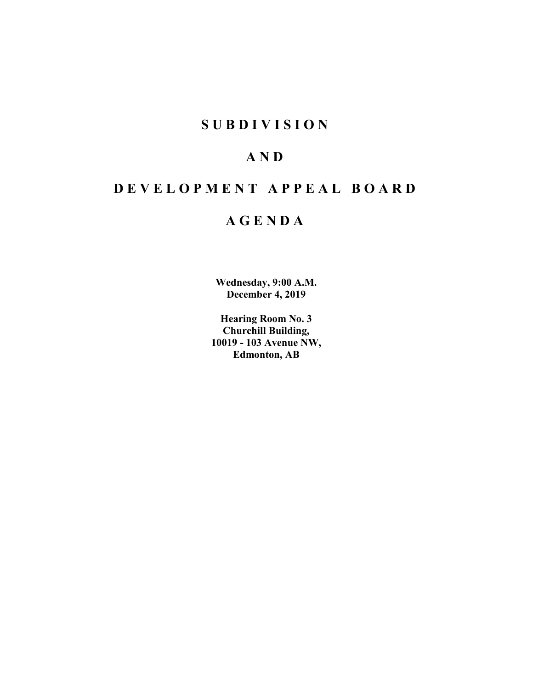# **SUBDIVISION**

# **AND**

# **DEVELOPMENT APPEAL BOARD**

# **AGENDA**

**Wednesday, 9:00 A.M. December 4, 2019**

**Hearing Room No. 3 Churchill Building, 10019 - 103 Avenue NW, Edmonton, AB**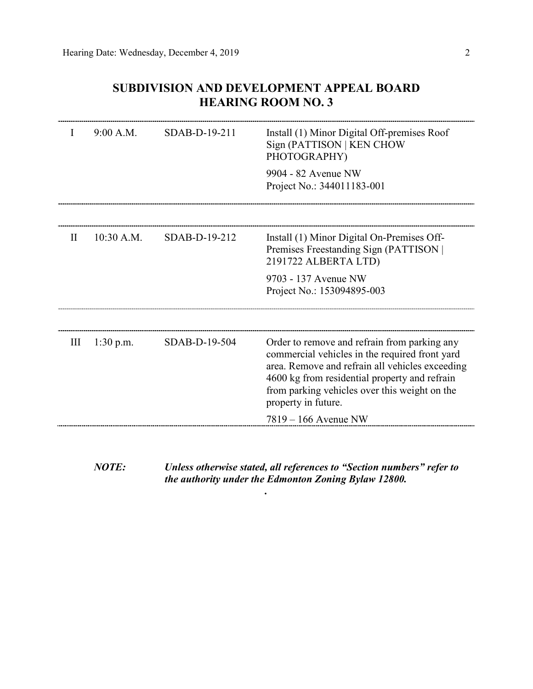## **SUBDIVISION AND DEVELOPMENT APPEAL BOARD HEARING ROOM NO. 3**

| 9:00 A.M.<br>SDAB-D-19-211<br>Install (1) Minor Digital Off-premises Roof<br>$\mathbf{I}$<br>Sign (PATTISON   KEN CHOW<br>PHOTOGRAPHY)<br>9904 - 82 Avenue NW<br>Project No.: 344011183-001<br>10:30 A.M.<br>SDAB-D-19-212<br>Install (1) Minor Digital On-Premises Off-<br>$\mathbf{I}$<br>Premises Freestanding Sign (PATTISON  <br>2191722 ALBERTA LTD)<br>9703 - 137 Avenue NW<br>Project No.: 153094895-003<br>SDAB-D-19-504<br>Order to remove and refrain from parking any<br>$1:30$ p.m.<br>Ш<br>commercial vehicles in the required front yard<br>area. Remove and refrain all vehicles exceeding<br>4600 kg from residential property and refrain<br>from parking vehicles over this weight on the |  |
|--------------------------------------------------------------------------------------------------------------------------------------------------------------------------------------------------------------------------------------------------------------------------------------------------------------------------------------------------------------------------------------------------------------------------------------------------------------------------------------------------------------------------------------------------------------------------------------------------------------------------------------------------------------------------------------------------------------|--|
|                                                                                                                                                                                                                                                                                                                                                                                                                                                                                                                                                                                                                                                                                                              |  |
|                                                                                                                                                                                                                                                                                                                                                                                                                                                                                                                                                                                                                                                                                                              |  |
|                                                                                                                                                                                                                                                                                                                                                                                                                                                                                                                                                                                                                                                                                                              |  |
|                                                                                                                                                                                                                                                                                                                                                                                                                                                                                                                                                                                                                                                                                                              |  |
|                                                                                                                                                                                                                                                                                                                                                                                                                                                                                                                                                                                                                                                                                                              |  |
| property in future.                                                                                                                                                                                                                                                                                                                                                                                                                                                                                                                                                                                                                                                                                          |  |
| 7819 – 166 Avenue NW                                                                                                                                                                                                                                                                                                                                                                                                                                                                                                                                                                                                                                                                                         |  |

*NOTE: Unless otherwise stated, all references to "Section numbers" refer to the authority under the Edmonton Zoning Bylaw 12800.*

*.*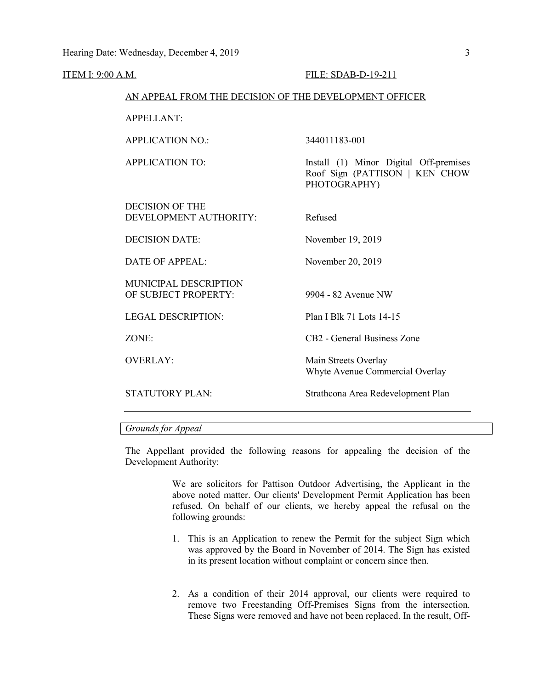#### FILE: SDAB-D-19-211

#### AN APPEAL FROM THE DECISION OF THE DEVELOPMENT OFFICER

APPELLANT:

APPLICATION NO.: 344011183-001 APPLICATION TO: Install (1) Minor Digital Off-premises Roof Sign (PATTISON | KEN CHOW PHOTOGRAPHY) DECISION OF THE DEVELOPMENT AUTHORITY: Refused DECISION DATE: November 19, 2019 DATE OF APPEAL: November 20, 2019 MUNICIPAL DESCRIPTION OF SUBJECT PROPERTY: 9904 - 82 Avenue NW LEGAL DESCRIPTION: Plan I Blk 71 Lots 14-15 ZONE: CB2 - General Business Zone OVERLAY: Main Streets Overlay Whyte Avenue Commercial Overlay STATUTORY PLAN: Strathcona Area Redevelopment Plan

## *Grounds for Appeal*

The Appellant provided the following reasons for appealing the decision of the Development Authority:

> We are solicitors for Pattison Outdoor Advertising, the Applicant in the above noted matter. Our clients' Development Permit Application has been refused. On behalf of our clients, we hereby appeal the refusal on the following grounds:

- 1. This is an Application to renew the Permit for the subject Sign which was approved by the Board in November of 2014. The Sign has existed in its present location without complaint or concern since then.
- 2. As a condition of their 2014 approval, our clients were required to remove two Freestanding Off-Premises Signs from the intersection. These Signs were removed and have not been replaced. In the result, Off-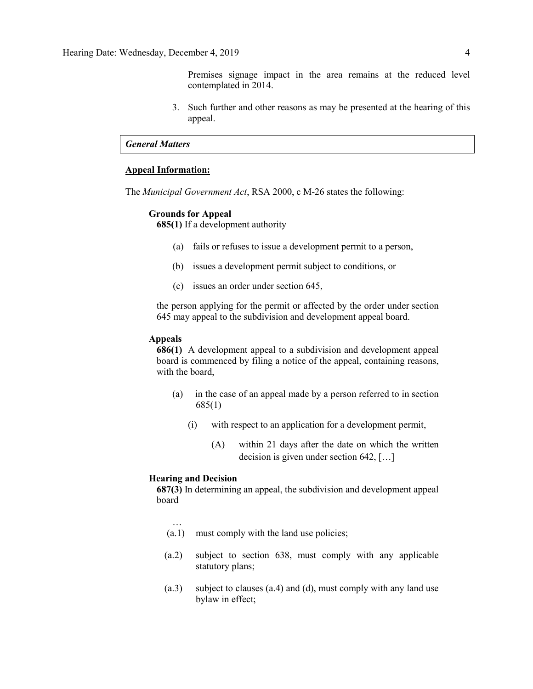Premises signage impact in the area remains at the reduced level contemplated in 2014.

3. Such further and other reasons as may be presented at the hearing of this appeal.

### *General Matters*

### **Appeal Information:**

The *Municipal Government Act*, RSA 2000, c M-26 states the following:

#### **Grounds for Appeal**

**685(1)** If a development authority

- (a) fails or refuses to issue a development permit to a person,
- (b) issues a development permit subject to conditions, or
- (c) issues an order under section 645,

the person applying for the permit or affected by the order under section 645 may appeal to the subdivision and development appeal board.

### **Appeals**

**686(1)** A development appeal to a subdivision and development appeal board is commenced by filing a notice of the appeal, containing reasons, with the board,

- (a) in the case of an appeal made by a person referred to in section 685(1)
	- (i) with respect to an application for a development permit,
		- (A) within 21 days after the date on which the written decision is given under section 642, […]

## **Hearing and Decision**

…

**687(3)** In determining an appeal, the subdivision and development appeal board

- (a.1) must comply with the land use policies;
- (a.2) subject to section 638, must comply with any applicable statutory plans;
- (a.3) subject to clauses (a.4) and (d), must comply with any land use bylaw in effect;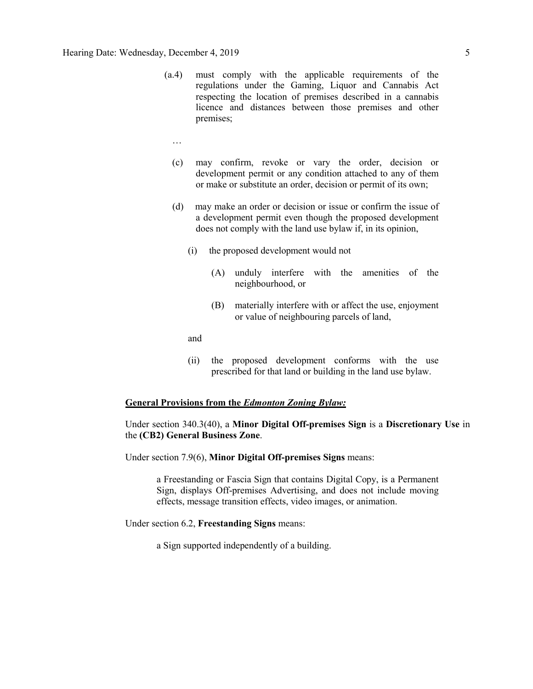- (a.4) must comply with the applicable requirements of the regulations under the Gaming, Liquor and Cannabis Act respecting the location of premises described in a cannabis licence and distances between those premises and other premises;
	- …
	- (c) may confirm, revoke or vary the order, decision or development permit or any condition attached to any of them or make or substitute an order, decision or permit of its own;
	- (d) may make an order or decision or issue or confirm the issue of a development permit even though the proposed development does not comply with the land use bylaw if, in its opinion,
		- (i) the proposed development would not
			- (A) unduly interfere with the amenities of the neighbourhood, or
			- (B) materially interfere with or affect the use, enjoyment or value of neighbouring parcels of land,

and

(ii) the proposed development conforms with the use prescribed for that land or building in the land use bylaw.

## **General Provisions from the** *Edmonton Zoning Bylaw:*

## Under section 340.3(40), a **Minor Digital Off-premises Sign** is a **Discretionary Use** in the **(CB2) General Business Zone**.

Under section 7.9(6), **Minor Digital Off-premises Signs** means:

a Freestanding or Fascia Sign that contains Digital Copy, is a Permanent Sign, displays Off-premises Advertising, and does not include moving effects, message transition effects, video images, or animation.

## Under section 6.2, **Freestanding Signs** means:

a Sign supported independently of a building.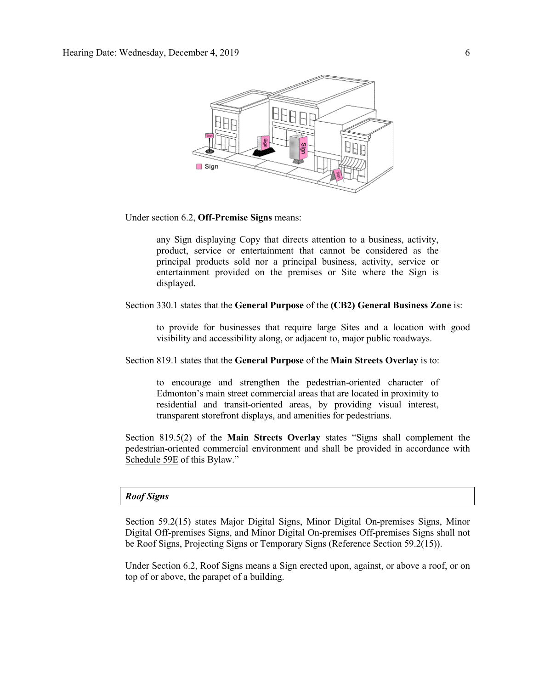

Under section 6.2, **Off-Premise Signs** means:

any Sign displaying Copy that directs attention to a business, activity, product, service or entertainment that cannot be considered as the principal products sold nor a principal business, activity, service or entertainment provided on the premises or Site where the Sign is displayed.

#### Section 330.1 states that the **General Purpose** of the **(CB2) General Business Zone** is:

to provide for businesses that require large Sites and a location with good visibility and accessibility along, or adjacent to, major public roadways.

#### Section 819.1 states that the **General Purpose** of the **Main Streets Overlay** is to:

to encourage and strengthen the pedestrian-oriented character of Edmonton's main street commercial areas that are located in proximity to residential and transit-oriented areas, by providing visual interest, transparent storefront displays, and amenities for pedestrians.

Section 819.5(2) of the **Main Streets Overlay** states "Signs shall complement the pedestrian-oriented commercial environment and shall be provided in accordance with Schedule 59E of this Bylaw."

#### *Roof Signs*

Section 59.2(15) states Major Digital Signs, Minor Digital On-premises Signs, Minor Digital Off-premises Signs, and Minor Digital On-premises Off-premises Signs shall not be Roof Signs, Projecting Signs or Temporary Signs (Reference Section 59.2(15)).

Under Section 6.2, Roof Signs means a Sign erected upon, against, or above a roof, or on top of or above, the parapet of a building.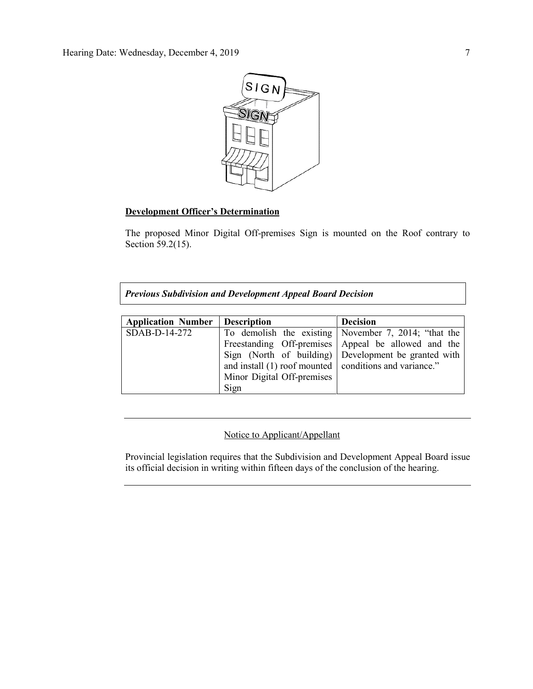

## **Development Officer's Determination**

The proposed Minor Digital Off-premises Sign is mounted on the Roof contrary to Section 59.2(15).

*Previous Subdivision and Development Appeal Board Decision*

| <b>Application Number</b> | <b>Description</b>                                       | <b>Decision</b>                                      |
|---------------------------|----------------------------------------------------------|------------------------------------------------------|
| $SDAB-D-14-272$           |                                                          | To demolish the existing November 7, 2014; "that the |
|                           |                                                          | Freestanding Off-premises Appeal be allowed and the  |
|                           |                                                          | Sign (North of building) Development be granted with |
|                           | and install (1) roof mounted   conditions and variance." |                                                      |
|                           | Minor Digital Off-premises                               |                                                      |
|                           | Sign                                                     |                                                      |

## Notice to Applicant/Appellant

Provincial legislation requires that the Subdivision and Development Appeal Board issue its official decision in writing within fifteen days of the conclusion of the hearing.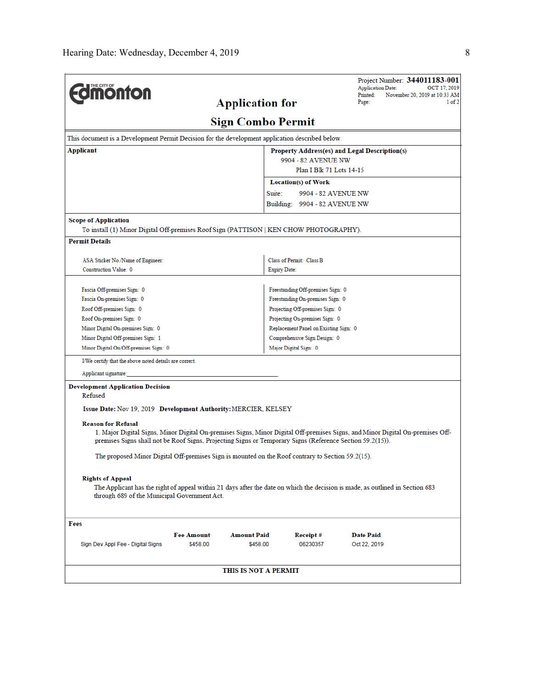| <b>Edmonton</b>                                                                                                                                                                                                                                                                                                                                                              | <b>Application for</b>   |                                       | Project Number: 344011183-001<br><b>Application Date:</b><br>OCT 17, 2019<br>November 20, 2019 at 10:33 AM<br>Printed:<br>1 of 2<br>Page: |
|------------------------------------------------------------------------------------------------------------------------------------------------------------------------------------------------------------------------------------------------------------------------------------------------------------------------------------------------------------------------------|--------------------------|---------------------------------------|-------------------------------------------------------------------------------------------------------------------------------------------|
|                                                                                                                                                                                                                                                                                                                                                                              | <b>Sign Combo Permit</b> |                                       |                                                                                                                                           |
| This document is a Development Permit Decision for the development application described below.                                                                                                                                                                                                                                                                              |                          |                                       |                                                                                                                                           |
| Applicant<br>Property Address(es) and Legal Description(s)                                                                                                                                                                                                                                                                                                                   |                          |                                       |                                                                                                                                           |
|                                                                                                                                                                                                                                                                                                                                                                              |                          | 9904 - 82 AVENUE NW                   |                                                                                                                                           |
|                                                                                                                                                                                                                                                                                                                                                                              |                          | Plan I Blk 71 Lots 14-15              |                                                                                                                                           |
|                                                                                                                                                                                                                                                                                                                                                                              |                          | Location(s) of Work                   |                                                                                                                                           |
|                                                                                                                                                                                                                                                                                                                                                                              | Suite:                   | 9904 - 82 AVENUE NW                   |                                                                                                                                           |
|                                                                                                                                                                                                                                                                                                                                                                              |                          | Building: 9904 - 82 AVENUE NW         |                                                                                                                                           |
| <b>Scope of Application</b><br>To install (1) Minor Digital Off-premises Roof Sign (PATTISON   KEN CHOW PHOTOGRAPHY).                                                                                                                                                                                                                                                        |                          |                                       |                                                                                                                                           |
| <b>Permit Details</b>                                                                                                                                                                                                                                                                                                                                                        |                          |                                       |                                                                                                                                           |
| ASA Sticker No./Name of Engineer:                                                                                                                                                                                                                                                                                                                                            |                          | Class of Permit: Class B              |                                                                                                                                           |
| Construction Value: 0                                                                                                                                                                                                                                                                                                                                                        | <b>Expiry Date:</b>      |                                       |                                                                                                                                           |
|                                                                                                                                                                                                                                                                                                                                                                              |                          |                                       |                                                                                                                                           |
| Fascia Off-premises Sign: 0                                                                                                                                                                                                                                                                                                                                                  |                          | Freestanding Off-premises Sign: 0     |                                                                                                                                           |
| Fascia On-premises Sign: 0                                                                                                                                                                                                                                                                                                                                                   |                          | Freestanding On-premises Sign: 0      |                                                                                                                                           |
| Roof Off-premises Sign: 0                                                                                                                                                                                                                                                                                                                                                    |                          | Projecting Off-premises Sign: 0       |                                                                                                                                           |
| Roof On-premises Sign: 0                                                                                                                                                                                                                                                                                                                                                     |                          | Projecting On-premises Sign: 0        |                                                                                                                                           |
| Minor Digital On-premises Sign: 0                                                                                                                                                                                                                                                                                                                                            |                          | Replacement Panel on Existing Sign: 0 |                                                                                                                                           |
| Minor Digital Off-premises Sign: 1                                                                                                                                                                                                                                                                                                                                           |                          | Comprehensive Sign Design: 0          |                                                                                                                                           |
| Minor Digital On/Off-premises Sign: 0                                                                                                                                                                                                                                                                                                                                        |                          | Major Digital Sign: 0                 |                                                                                                                                           |
| I/We certify that the above noted details are correct.                                                                                                                                                                                                                                                                                                                       |                          |                                       |                                                                                                                                           |
| Applicant signature:                                                                                                                                                                                                                                                                                                                                                         |                          |                                       |                                                                                                                                           |
| <b>Development Application Decision</b><br>Refused<br>Issue Date: Nov 19, 2019 Development Authority: MERCIER, KELSEY                                                                                                                                                                                                                                                        |                          |                                       |                                                                                                                                           |
| <b>Reason for Refusal</b><br>1. Major Digital Signs, Minor Digital On-premises Signs, Minor Digital Off-premises Signs, and Minor Digital On-premises Off-<br>premises Signs shall not be Roof Signs, Projecting Signs or Temporary Signs (Reference Section 59.2(15)).<br>The proposed Minor Digital Off-premises Sign is mounted on the Roof contrary to Section 59.2(15). |                          |                                       |                                                                                                                                           |
| <b>Rights of Appeal</b><br>The Applicant has the right of appeal within 21 days after the date on which the decision is made, as outlined in Section 683<br>through 689 of the Municipal Government Act.                                                                                                                                                                     |                          |                                       |                                                                                                                                           |
| Fees                                                                                                                                                                                                                                                                                                                                                                         |                          |                                       |                                                                                                                                           |
| <b>Fee Amount</b>                                                                                                                                                                                                                                                                                                                                                            | <b>Amount Paid</b>       | <b>Receipt#</b>                       | <b>Date Paid</b>                                                                                                                          |
| Sign Dev Appl Fee - Digital Signs<br>\$458.00                                                                                                                                                                                                                                                                                                                                | \$458.00                 | 06230357                              | Oct 22, 2019                                                                                                                              |
|                                                                                                                                                                                                                                                                                                                                                                              |                          |                                       |                                                                                                                                           |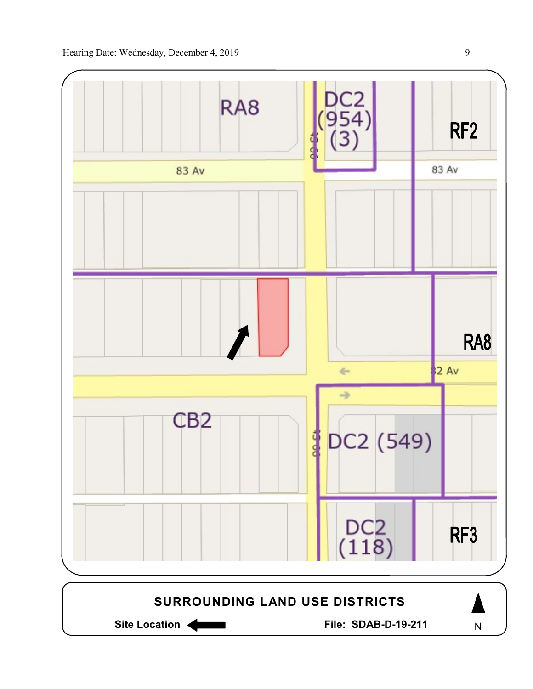

Site Location **General Execution State SDAB-D-19-211** 

N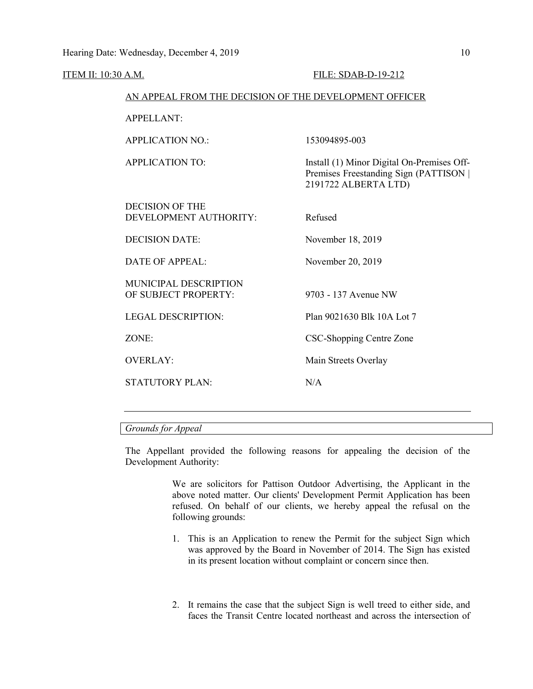ITEM II: 10:30 A.M. FILE: SDAB-D-19-212

## AN APPEAL FROM THE DECISION OF THE DEVELOPMENT OFFICER

| <b>APPELLANT:</b>                                    |                                                                                                              |
|------------------------------------------------------|--------------------------------------------------------------------------------------------------------------|
| <b>APPLICATION NO.:</b>                              | 153094895-003                                                                                                |
| <b>APPLICATION TO:</b>                               | Install (1) Minor Digital On-Premises Off-<br>Premises Freestanding Sign (PATTISON  <br>2191722 ALBERTA LTD) |
| DECISION OF THE<br>DEVELOPMENT AUTHORITY:            | Refused                                                                                                      |
| <b>DECISION DATE:</b>                                | November 18, 2019                                                                                            |
| DATE OF APPEAL:                                      | November 20, 2019                                                                                            |
| <b>MUNICIPAL DESCRIPTION</b><br>OF SUBJECT PROPERTY: | 9703 - 137 Avenue NW                                                                                         |
| <b>LEGAL DESCRIPTION:</b>                            | Plan 9021630 Blk 10A Lot 7                                                                                   |
| ZONE:                                                | CSC-Shopping Centre Zone                                                                                     |
| <b>OVERLAY:</b>                                      | Main Streets Overlay                                                                                         |
| <b>STATUTORY PLAN:</b>                               | N/A                                                                                                          |
|                                                      |                                                                                                              |

## *Grounds for Appeal*

The Appellant provided the following reasons for appealing the decision of the Development Authority:

> We are solicitors for Pattison Outdoor Advertising, the Applicant in the above noted matter. Our clients' Development Permit Application has been refused. On behalf of our clients, we hereby appeal the refusal on the following grounds:

- 1. This is an Application to renew the Permit for the subject Sign which was approved by the Board in November of 2014. The Sign has existed in its present location without complaint or concern since then.
- 2. It remains the case that the subject Sign is well treed to either side, and faces the Transit Centre located northeast and across the intersection of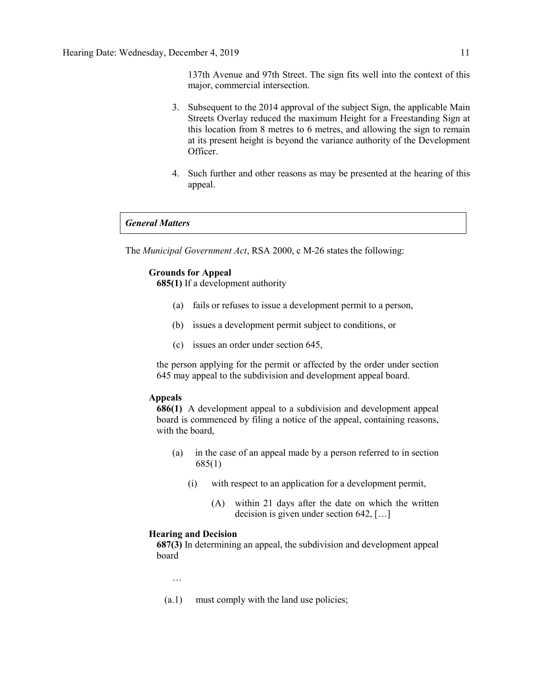137th Avenue and 97th Street. The sign fits well into the context of this major, commercial intersection.

- 3. Subsequent to the 2014 approval of the subject Sign, the applicable Main Streets Overlay reduced the maximum Height for a Freestanding Sign at this location from 8 metres to 6 metres, and allowing the sign to remain at its present height is beyond the variance authority of the Development Officer.
- 4. Such further and other reasons as may be presented at the hearing of this appeal.

### *General Matters*

The *Municipal Government Act*, RSA 2000, c M-26 states the following:

## **Grounds for Appeal**

**685(1)** If a development authority

- (a) fails or refuses to issue a development permit to a person,
- (b) issues a development permit subject to conditions, or
- (c) issues an order under section 645,

the person applying for the permit or affected by the order under section 645 may appeal to the subdivision and development appeal board.

## **Appeals**

**686(1)** A development appeal to a subdivision and development appeal board is commenced by filing a notice of the appeal, containing reasons, with the board,

- (a) in the case of an appeal made by a person referred to in section 685(1)
	- (i) with respect to an application for a development permit,
		- (A) within 21 days after the date on which the written decision is given under section 642, […]

#### **Hearing and Decision**

**687(3)** In determining an appeal, the subdivision and development appeal board

- …
- (a.1) must comply with the land use policies;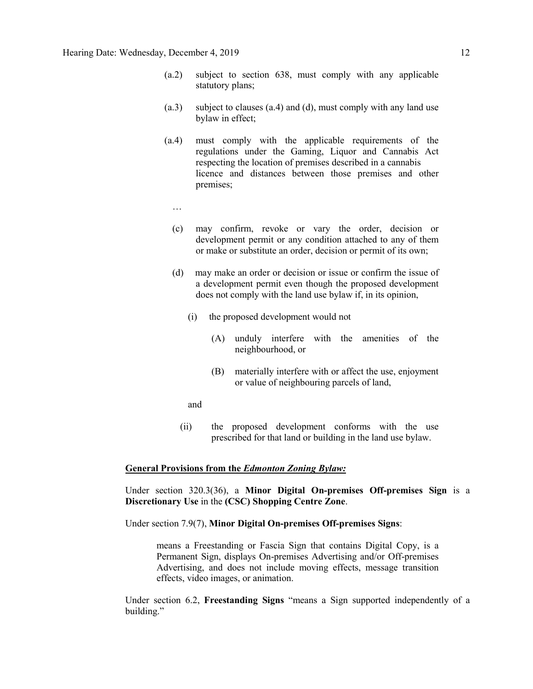- (a.2) subject to section 638, must comply with any applicable statutory plans;
- (a.3) subject to clauses (a.4) and (d), must comply with any land use bylaw in effect;
- (a.4) must comply with the applicable requirements of the regulations under the Gaming, Liquor and Cannabis Act respecting the location of premises described in a cannabis licence and distances between those premises and other premises;
	- …
	- (c) may confirm, revoke or vary the order, decision or development permit or any condition attached to any of them or make or substitute an order, decision or permit of its own;
	- (d) may make an order or decision or issue or confirm the issue of a development permit even though the proposed development does not comply with the land use bylaw if, in its opinion,
		- (i) the proposed development would not
			- (A) unduly interfere with the amenities of the neighbourhood, or
			- (B) materially interfere with or affect the use, enjoyment or value of neighbouring parcels of land,
		- and
		- (ii) the proposed development conforms with the use prescribed for that land or building in the land use bylaw.

#### **General Provisions from the** *Edmonton Zoning Bylaw:*

Under section 320.3(36), a **Minor Digital On-premises Off-premises Sign** is a **Discretionary Use** in the **(CSC) Shopping Centre Zone**.

Under section 7.9(7), **Minor Digital On-premises Off-premises Signs**:

means a Freestanding or Fascia Sign that contains Digital Copy, is a Permanent Sign, displays On-premises Advertising and/or Off-premises Advertising, and does not include moving effects, message transition effects, video images, or animation.

Under section 6.2, **Freestanding Signs** "means a Sign supported independently of a building."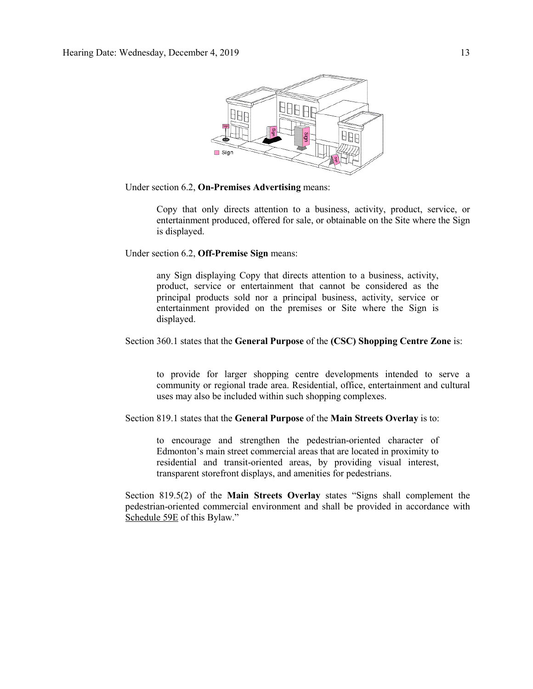

Under section 6.2, **On-Premises Advertising** means:

Copy that only directs attention to a business, activity, product, service, or entertainment produced, offered for sale, or obtainable on the Site where the Sign is displayed.

Under section 6.2, **Off-Premise Sign** means:

any Sign displaying Copy that directs attention to a business, activity, product, service or entertainment that cannot be considered as the principal products sold nor a principal business, activity, service or entertainment provided on the premises or Site where the Sign is displayed.

## Section 360.1 states that the **General Purpose** of the **(CSC) Shopping Centre Zone** is:

to provide for larger shopping centre developments intended to serve a community or regional trade area. Residential, office, entertainment and cultural uses may also be included within such shopping complexes.

Section 819.1 states that the **General Purpose** of the **Main Streets Overlay** is to:

to encourage and strengthen the pedestrian-oriented character of Edmonton's main street commercial areas that are located in proximity to residential and transit-oriented areas, by providing visual interest, transparent storefront displays, and amenities for pedestrians.

Section 819.5(2) of the **Main Streets Overlay** states "Signs shall complement the pedestrian-oriented commercial environment and shall be provided in accordance with Schedule 59E of this Bylaw."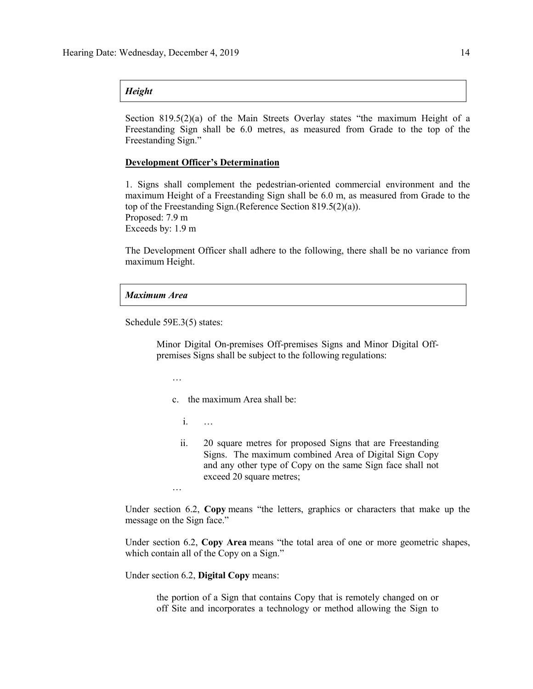#### *Height*

Section  $819.5(2)(a)$  of the Main Streets Overlay states "the maximum Height of a Freestanding Sign shall be 6.0 metres, as measured from Grade to the top of the Freestanding Sign."

## **Development Officer's Determination**

1. Signs shall complement the pedestrian-oriented commercial environment and the maximum Height of a Freestanding Sign shall be 6.0 m, as measured from Grade to the top of the Freestanding Sign.(Reference Section 819.5(2)(a)). Proposed: 7.9 m Exceeds by: 1.9 m

The Development Officer shall adhere to the following, there shall be no variance from maximum Height.

#### *Maximum Area*

Schedule 59E.3(5) states:

Minor Digital On-premises Off-premises Signs and Minor Digital Offpremises Signs shall be subject to the following regulations:

…

…

- c. the maximum Area shall be:
	- i. …
	- ii. 20 square metres for proposed Signs that are Freestanding Signs. The maximum combined Area of Digital Sign Copy and any other type of Copy on the same Sign face shall not exceed 20 square metres;

Under section 6.2, **Copy** means "the letters, graphics or characters that make up the message on the Sign face."

Under section 6.2, **Copy Area** means "the total area of one or more geometric shapes, which contain all of the Copy on a Sign."

Under section 6.2, **Digital Copy** means:

the portion of a Sign that contains Copy that is remotely changed on or off Site and incorporates a technology or method allowing the Sign to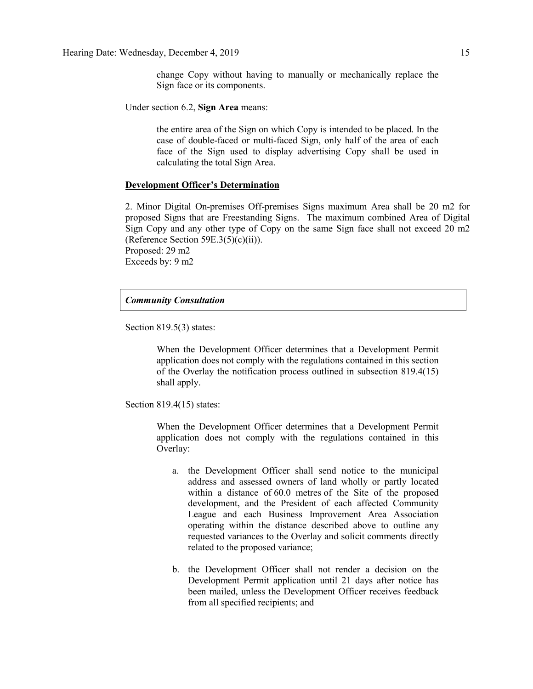change Copy without having to manually or mechanically replace the Sign face or its components.

Under section 6.2, **Sign Area** means:

the entire area of the Sign on which Copy is intended to be placed. In the case of double-faced or multi-faced Sign, only half of the area of each face of the Sign used to display advertising Copy shall be used in calculating the total Sign Area.

#### **Development Officer's Determination**

2. Minor Digital On-premises Off-premises Signs maximum Area shall be 20 m2 for proposed Signs that are Freestanding Signs. The maximum combined Area of Digital Sign Copy and any other type of Copy on the same Sign face shall not exceed 20 m2 (Reference Section  $59E.3(5)(c)(ii)$ ). Proposed: 29 m2

Exceeds by: 9 m2

### *Community Consultation*

Section 819.5(3) states:

When the Development Officer determines that a Development Permit application does not comply with the regulations contained in this section of the Overlay the notification process outlined in subsection 819.4(15) shall apply.

Section 819.4(15) states:

When the Development Officer determines that a Development Permit application does not comply with the regulations contained in this Overlay:

- a. the Development Officer shall send notice to the municipal address and assessed owners of land wholly or partly located within a distance of [60.0 me](javascript:void(0);)tres of the Site of the proposed development, and the President of each affected Community League and each Business Improvement Area Association operating within the distance described above to outline any requested variances to the Overlay and solicit comments directly related to the proposed variance;
- b. the Development Officer shall not render a decision on the Development Permit application until 21 days after notice has been mailed, unless the Development Officer receives feedback from all specified recipients; and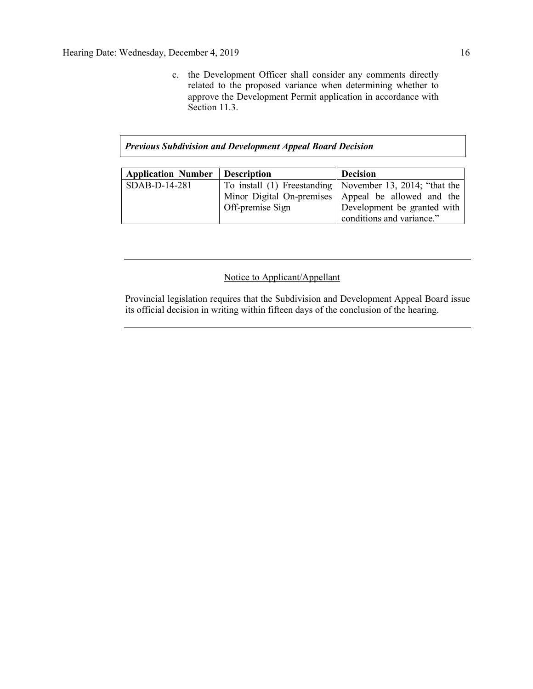c. the Development Officer shall consider any comments directly related to the proposed variance when determining whether to approve the Development Permit application in accordance with Section 11.3.

## *Previous Subdivision and Development Appeal Board Decision*

| <b>Application Number</b> | <b>Description</b> | <b>Decision</b>                                            |
|---------------------------|--------------------|------------------------------------------------------------|
| $SDAB-D-14-281$           |                    | To install (1) Freestanding   November 13, 2014; "that the |
|                           |                    | Minor Digital On-premises Appeal be allowed and the        |
|                           | Off-premise Sign   | Development be granted with                                |
|                           |                    | conditions and variance."                                  |

## Notice to Applicant/Appellant

Provincial legislation requires that the Subdivision and Development Appeal Board issue its official decision in writing within fifteen days of the conclusion of the hearing.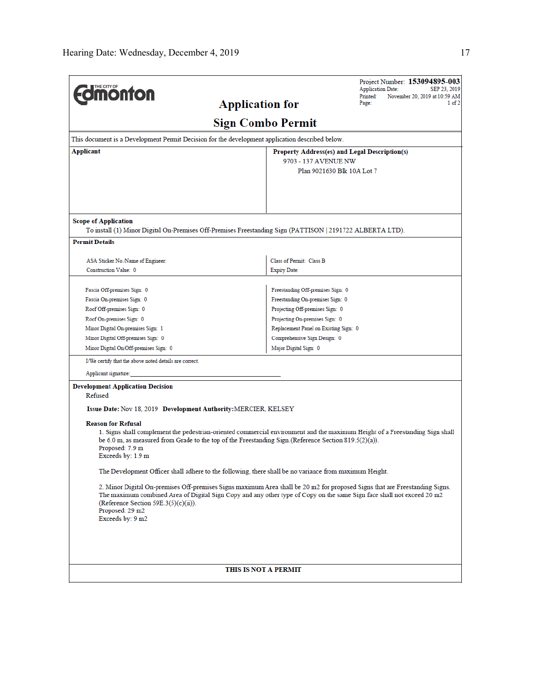| <b>Jmönton</b><br><b>Application for</b>                                                                                                                                                                                                                                                                                                                                                    | Printed:<br>Page:                                                                                   | Project Number: 153094895-003<br><b>Application Date:</b><br>SEP 23, 2019<br>November 20, 2019 at 10:59 AM<br>1 of 2 |  |  |
|---------------------------------------------------------------------------------------------------------------------------------------------------------------------------------------------------------------------------------------------------------------------------------------------------------------------------------------------------------------------------------------------|-----------------------------------------------------------------------------------------------------|----------------------------------------------------------------------------------------------------------------------|--|--|
| <b>Sign Combo Permit</b>                                                                                                                                                                                                                                                                                                                                                                    |                                                                                                     |                                                                                                                      |  |  |
| This document is a Development Permit Decision for the development application described below.                                                                                                                                                                                                                                                                                             |                                                                                                     |                                                                                                                      |  |  |
| Applicant                                                                                                                                                                                                                                                                                                                                                                                   | Property Address(es) and Legal Description(s)<br>9703 - 137 AVENUE NW<br>Plan 9021630 Blk 10A Lot 7 |                                                                                                                      |  |  |
| <b>Scope of Application</b>                                                                                                                                                                                                                                                                                                                                                                 |                                                                                                     |                                                                                                                      |  |  |
| To install (1) Minor Digital On-Premises Off-Premises Freestanding Sign (PATTISON   2191722 ALBERTA LTD).                                                                                                                                                                                                                                                                                   |                                                                                                     |                                                                                                                      |  |  |
| <b>Permit Details</b>                                                                                                                                                                                                                                                                                                                                                                       |                                                                                                     |                                                                                                                      |  |  |
| ASA Sticker No./Name of Engineer:                                                                                                                                                                                                                                                                                                                                                           | Class of Permit: Class B                                                                            |                                                                                                                      |  |  |
| Construction Value: 0                                                                                                                                                                                                                                                                                                                                                                       | <b>Expiry Date:</b>                                                                                 |                                                                                                                      |  |  |
|                                                                                                                                                                                                                                                                                                                                                                                             |                                                                                                     |                                                                                                                      |  |  |
| Fascia Off-premises Sign: 0                                                                                                                                                                                                                                                                                                                                                                 | Freestanding Off-premises Sign: 0                                                                   |                                                                                                                      |  |  |
| Fascia On-premises Sign: 0                                                                                                                                                                                                                                                                                                                                                                  | Freestanding On-premises Sign: 0                                                                    |                                                                                                                      |  |  |
| Roof Off-premises Sign: 0                                                                                                                                                                                                                                                                                                                                                                   | Projecting Off-premises Sign: 0                                                                     |                                                                                                                      |  |  |
| Roof On-premises Sign: 0                                                                                                                                                                                                                                                                                                                                                                    | Projecting On-premises Sign: 0                                                                      |                                                                                                                      |  |  |
| Minor Digital On-premises Sign: 1                                                                                                                                                                                                                                                                                                                                                           | Replacement Panel on Existing Sign: 0                                                               |                                                                                                                      |  |  |
| Minor Digital Off-premises Sign: 0                                                                                                                                                                                                                                                                                                                                                          | Comprehensive Sign Design: 0                                                                        |                                                                                                                      |  |  |
| Minor Digital On/Off-premises Sign: 0                                                                                                                                                                                                                                                                                                                                                       | Major Digital Sign: 0                                                                               |                                                                                                                      |  |  |
| I/We certify that the above noted details are correct.                                                                                                                                                                                                                                                                                                                                      |                                                                                                     |                                                                                                                      |  |  |
| Applicant signature:                                                                                                                                                                                                                                                                                                                                                                        |                                                                                                     |                                                                                                                      |  |  |
| <b>Development Application Decision</b><br>Refused<br>Issue Date: Nov 18, 2019 Development Authority: MERCIER, KELSEY<br><b>Reason for Refusal</b><br>1. Signs shall complement the pedestrian-oriented commercial environment and the maximum Height of a Freestanding Sign shall<br>be 6.0 m, as measured from Grade to the top of the Freestanding Sign.(Reference Section 819.5(2)(a)). |                                                                                                     |                                                                                                                      |  |  |
| Proposed: 7.9 m<br>Exceeds by: 1.9 m                                                                                                                                                                                                                                                                                                                                                        |                                                                                                     |                                                                                                                      |  |  |
| The Development Officer shall adhere to the following, there shall be no variance from maximum Height.                                                                                                                                                                                                                                                                                      |                                                                                                     |                                                                                                                      |  |  |
| 2. Minor Digital On-premises Off-premises Signs maximum Area shall be 20 m2 for proposed Signs that are Freestanding Signs.<br>The maximum combined Area of Digital Sign Copy and any other type of Copy on the same Sign face shall not exceed 20 m2<br>(Reference Section 59E.3(5)(c)(ii)).<br>Proposed: 29 m2<br>Exceeds by: 9 m2                                                        |                                                                                                     |                                                                                                                      |  |  |
|                                                                                                                                                                                                                                                                                                                                                                                             |                                                                                                     |                                                                                                                      |  |  |
| THIS IS NOT A PERMIT                                                                                                                                                                                                                                                                                                                                                                        |                                                                                                     |                                                                                                                      |  |  |

 $\overline{a}$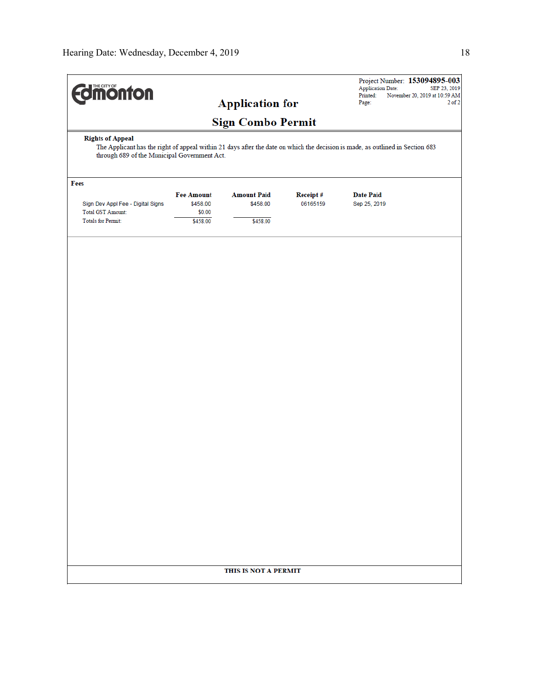| <b>difficultion</b>                                           |                                                                                                                                                           |                                |                             | Project Number: 153094895-003<br><b>Application Date:</b><br>SEP 23, 2019 |  |  |
|---------------------------------------------------------------|-----------------------------------------------------------------------------------------------------------------------------------------------------------|--------------------------------|-----------------------------|---------------------------------------------------------------------------|--|--|
|                                                               |                                                                                                                                                           | <b>Application for</b>         |                             | Printed:<br>November 20, 2019 at 10:59 AM<br>Page:<br>$2$ of $2$          |  |  |
|                                                               |                                                                                                                                                           |                                |                             |                                                                           |  |  |
| <b>Rights of Appeal</b>                                       | <b>Sign Combo Permit</b><br>The Applicant has the right of appeal within 21 days after the date on which the decision is made, as outlined in Section 683 |                                |                             |                                                                           |  |  |
| through 689 of the Municipal Government Act.                  |                                                                                                                                                           |                                |                             |                                                                           |  |  |
| Fees                                                          |                                                                                                                                                           |                                |                             |                                                                           |  |  |
| Sign Dev Appl Fee - Digital Signs<br><b>Total GST Amount:</b> | <b>Fee Amount</b><br>\$458.00<br>\$0.00                                                                                                                   | <b>Amount Paid</b><br>\$458.00 | <b>Receipt#</b><br>06165159 | <b>Date Paid</b><br>Sep 25, 2019                                          |  |  |
| <b>Totals for Permit:</b>                                     | \$458.00                                                                                                                                                  | \$458.00                       |                             |                                                                           |  |  |
|                                                               |                                                                                                                                                           |                                |                             |                                                                           |  |  |
|                                                               |                                                                                                                                                           |                                |                             |                                                                           |  |  |
|                                                               |                                                                                                                                                           |                                |                             |                                                                           |  |  |
|                                                               |                                                                                                                                                           |                                |                             |                                                                           |  |  |
|                                                               |                                                                                                                                                           |                                |                             |                                                                           |  |  |
|                                                               |                                                                                                                                                           |                                |                             |                                                                           |  |  |
|                                                               |                                                                                                                                                           |                                |                             |                                                                           |  |  |
|                                                               |                                                                                                                                                           |                                |                             |                                                                           |  |  |
|                                                               |                                                                                                                                                           |                                |                             |                                                                           |  |  |
|                                                               |                                                                                                                                                           |                                |                             |                                                                           |  |  |
|                                                               |                                                                                                                                                           |                                |                             |                                                                           |  |  |
|                                                               |                                                                                                                                                           |                                |                             |                                                                           |  |  |
|                                                               |                                                                                                                                                           |                                |                             |                                                                           |  |  |
|                                                               |                                                                                                                                                           |                                |                             |                                                                           |  |  |
|                                                               |                                                                                                                                                           |                                |                             |                                                                           |  |  |
|                                                               |                                                                                                                                                           |                                |                             |                                                                           |  |  |
|                                                               |                                                                                                                                                           |                                |                             |                                                                           |  |  |
|                                                               |                                                                                                                                                           |                                |                             |                                                                           |  |  |
|                                                               |                                                                                                                                                           |                                |                             |                                                                           |  |  |
|                                                               |                                                                                                                                                           |                                |                             |                                                                           |  |  |
| THIS IS NOT A PERMIT                                          |                                                                                                                                                           |                                |                             |                                                                           |  |  |
|                                                               |                                                                                                                                                           |                                |                             |                                                                           |  |  |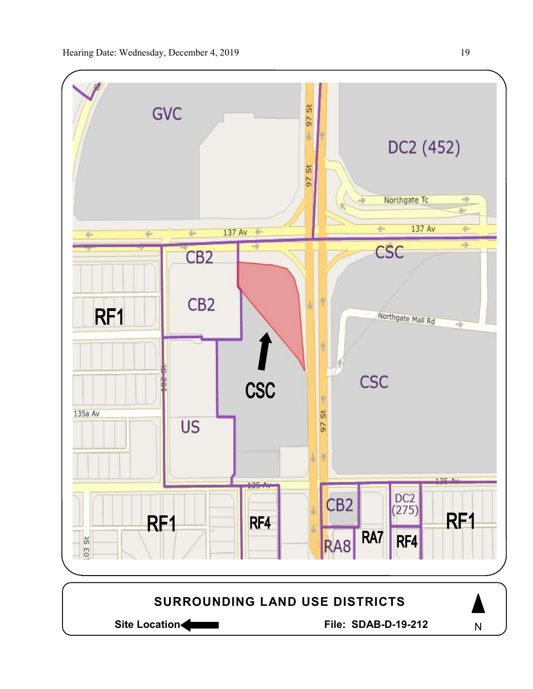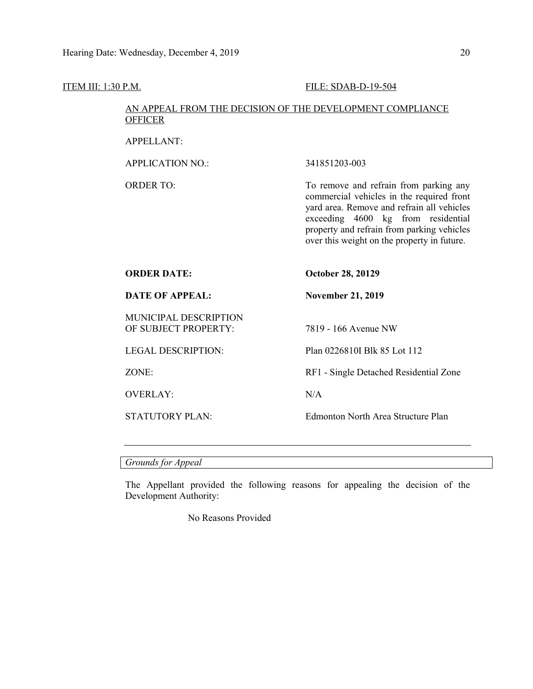# ITEM III: 1:30 P.M. FILE: SDAB-D-19-504 AN APPEAL FROM THE DECISION OF THE DEVELOPMENT COMPLIANCE **OFFICER** APPELLANT: APPLICATION NO.: 341851203-003 ORDER TO: To remove and refrain from parking any commercial vehicles in the required front yard area. Remove and refrain all vehicles exceeding 4600 kg from residential property and refrain from parking vehicles over this weight on the property in future. **ORDER DATE: October 28, 20129 DATE OF APPEAL: November 21, 2019** MUNICIPAL DESCRIPTION OF SUBJECT PROPERTY: 7819 - 166 Avenue NW LEGAL DESCRIPTION: Plan 0226810I Blk 85 Lot 112 ZONE: RF1 - Single Detached Residential Zone OVERLAY: N/A STATUTORY PLAN: Edmonton North Area Structure Plan

*Grounds for Appeal*

The Appellant provided the following reasons for appealing the decision of the Development Authority:

No Reasons Provided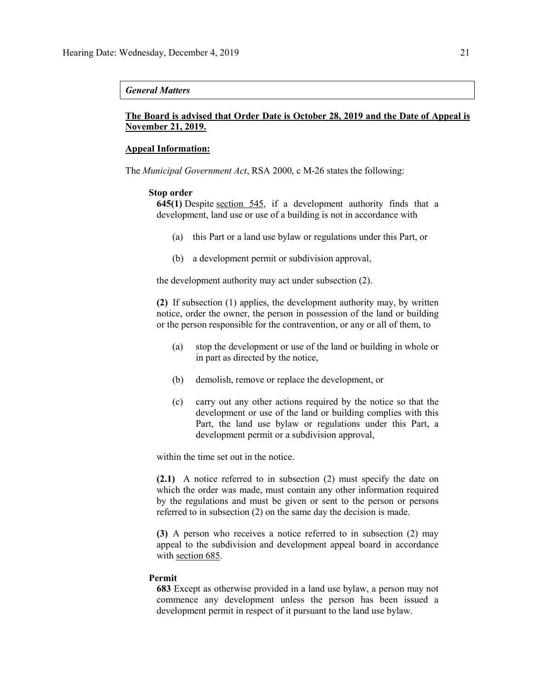#### *General Matters*

## **The Board is advised that Order Date is October 28, 2019 and the Date of Appeal is November 21, 2019.**

#### **Appeal Information:**

The *Municipal Government Act*, RSA 2000, c M-26 states the following:

#### **Stop order**

**645(1)** Despite [section 545,](https://www.canlii.org/en/ab/laws/stat/rsa-2000-c-m-26/latest/rsa-2000-c-m-26.html#sec545_smooth) if a development authority finds that a development, land use or use of a building is not in accordance with

- (a) this Part or a land use bylaw or regulations under this Part, or
- (b) a development permit or subdivision approval,

the development authority may act under subsection (2).

**(2)** If subsection (1) applies, the development authority may, by written notice, order the owner, the person in possession of the land or building or the person responsible for the contravention, or any or all of them, to

- (a) stop the development or use of the land or building in whole or in part as directed by the notice,
- (b) demolish, remove or replace the development, or
- (c) carry out any other actions required by the notice so that the development or use of the land or building complies with this Part, the land use bylaw or regulations under this Part, a development permit or a subdivision approval,

within the time set out in the notice.

**(2.1)** A notice referred to in subsection (2) must specify the date on which the order was made, must contain any other information required by the regulations and must be given or sent to the person or persons referred to in subsection (2) on the same day the decision is made.

**(3)** A person who receives a notice referred to in subsection (2) may appeal to the subdivision and development appeal board in accordance with [section 685.](https://www.canlii.org/en/ab/laws/stat/rsa-2000-c-m-26/latest/rsa-2000-c-m-26.html#sec685_smooth)

#### **Permit**

**683** Except as otherwise provided in a land use bylaw, a person may not commence any development unless the person has been issued a development permit in respect of it pursuant to the land use bylaw.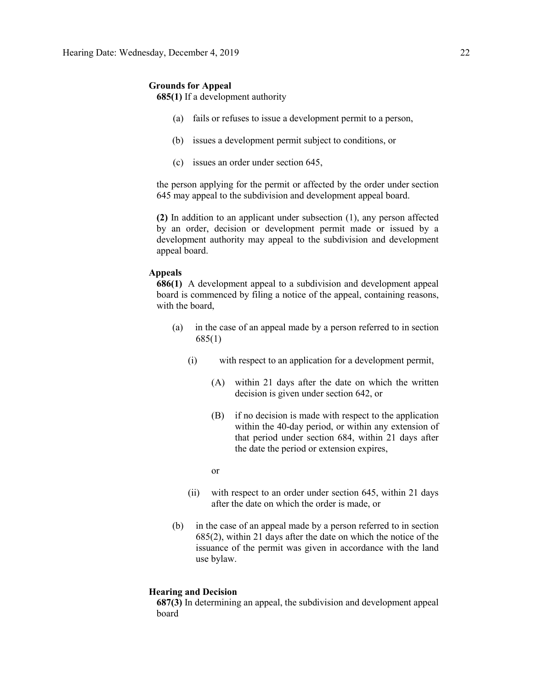## **Grounds for Appeal**

**685(1)** If a development authority

- (a) fails or refuses to issue a development permit to a person,
- (b) issues a development permit subject to conditions, or
- (c) issues an order under section 645,

the person applying for the permit or affected by the order under section 645 may appeal to the subdivision and development appeal board.

**(2)** In addition to an applicant under subsection (1), any person affected by an order, decision or development permit made or issued by a development authority may appeal to the subdivision and development appeal board.

### **Appeals**

**686(1)** A development appeal to a subdivision and development appeal board is commenced by filing a notice of the appeal, containing reasons, with the board,

- (a) in the case of an appeal made by a person referred to in section 685(1)
	- (i) with respect to an application for a development permit,
		- (A) within 21 days after the date on which the written decision is given under section 642, or
		- (B) if no decision is made with respect to the application within the 40-day period, or within any extension of that period under section 684, within 21 days after the date the period or extension expires,

or

- (ii) with respect to an order under section 645, within 21 days after the date on which the order is made, or
- (b) in the case of an appeal made by a person referred to in section 685(2), within 21 days after the date on which the notice of the issuance of the permit was given in accordance with the land use bylaw.

#### **Hearing and Decision**

**687(3)** In determining an appeal, the subdivision and development appeal board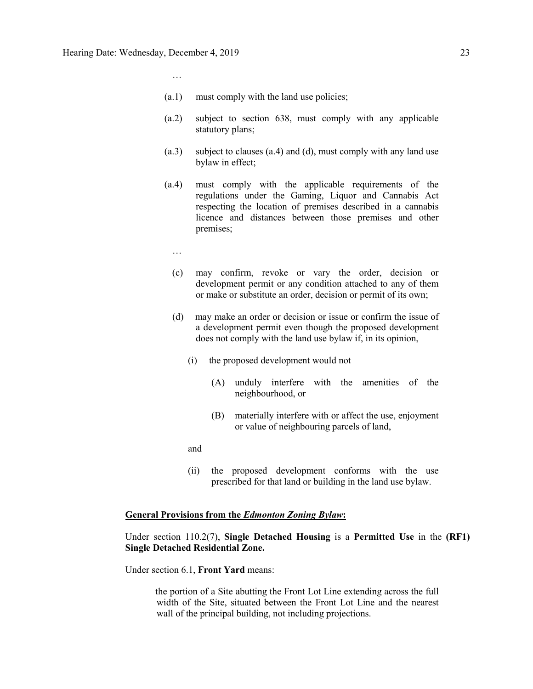…

- (a.1) must comply with the land use policies;
- (a.2) subject to section 638, must comply with any applicable statutory plans;
- (a.3) subject to clauses (a.4) and (d), must comply with any land use bylaw in effect;
- (a.4) must comply with the applicable requirements of the regulations under the Gaming, Liquor and Cannabis Act respecting the location of premises described in a cannabis licence and distances between those premises and other premises;
	- …
	- (c) may confirm, revoke or vary the order, decision or development permit or any condition attached to any of them or make or substitute an order, decision or permit of its own;
	- (d) may make an order or decision or issue or confirm the issue of a development permit even though the proposed development does not comply with the land use bylaw if, in its opinion,
		- (i) the proposed development would not
			- (A) unduly interfere with the amenities of the neighbourhood, or
			- (B) materially interfere with or affect the use, enjoyment or value of neighbouring parcels of land,
		- and
		- (ii) the proposed development conforms with the use prescribed for that land or building in the land use bylaw.

#### **General Provisions from the** *Edmonton Zoning Bylaw***:**

Under section 110.2(7), **Single Detached Housing** is a **Permitted Use** in the **(RF1) Single Detached Residential Zone.** 

Under section 6.1, **Front Yard** means:

the portion of a Site abutting the Front Lot Line extending across the full width of the Site, situated between the Front Lot Line and the nearest wall of the principal building, not including projections.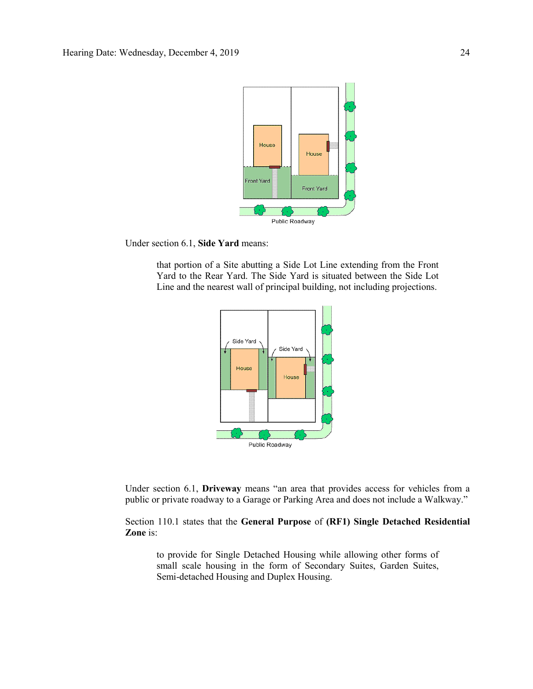

Under section 6.1, **Side Yard** means:

that portion of a Site abutting a Side Lot Line extending from the Front Yard to the Rear Yard. The Side Yard is situated between the Side Lot Line and the nearest wall of principal building, not including projections.



Under section 6.1, **Driveway** means "an area that provides access for vehicles from a public or private roadway to a Garage or Parking Area and does not include a Walkway."

Section 110.1 states that the **General Purpose** of **(RF1) Single Detached Residential Zone** is:

to provide for Single Detached Housing while allowing other forms of small scale housing in the form of Secondary Suites, Garden Suites, Semi-detached Housing and Duplex Housing.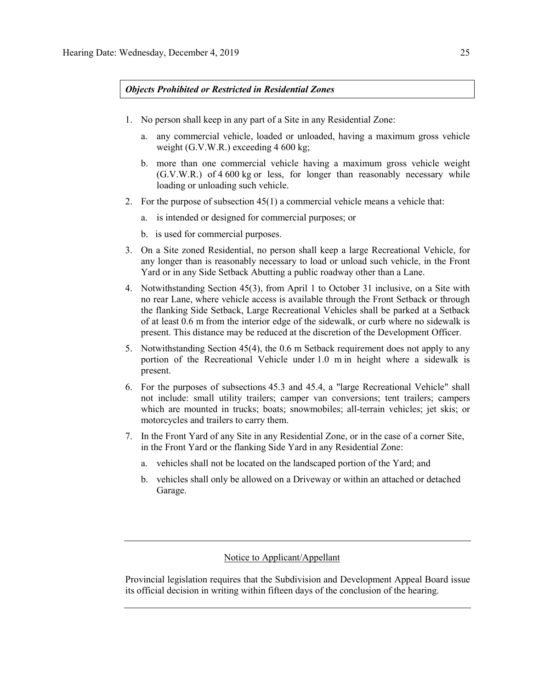### *Objects Prohibited or Restricted in Residential Zones*

- 1. No person shall keep in any part of a Site in any Residential Zone:
	- a. any commercial vehicle, loaded or unloaded, having a maximum gross vehicle weight (G.V.W.R.) exceeding 4 [600](javascript:BSSCPopup() kg;
	- b. more than one commercial vehicle having a maximum gross vehicle weight (G.V.W.R.) of 4 [600](javascript:BSSCPopup() kg or less, for longer than reasonably necessary while loading or unloading such vehicle.
- 2. For the purpose of subsection 45(1) a commercial vehicle means a vehicle that:
	- a. is intended or designed for commercial purposes; or
	- b. is used for commercial purposes.
- 3. On a Site zoned Residential, no person shall keep a large Recreational Vehicle, for any longer than is reasonably necessary to load or unload such vehicle, in the Front Yard or in any Side Setback Abutting a public roadway other than a Lane.
- 4. Notwithstanding Section 45(3), from April 1 to October 31 inclusive, on a Site with no rear Lane, where vehicle access is available through the Front Setback or through the flanking Side Setback, Large Recreational Vehicles shall be parked at a Setback of at least [0.6 m](javascript:BSSCPopup() from the interior edge of the sidewalk, or curb where no sidewalk is present. This distance may be reduced at the discretion of the Development Officer.
- 5. Notwithstanding Section 45(4), the 0.6 m Setback requirement does not apply to any portion of the Recreational Vehicle under [1.0 m](javascript:BSSCPopup() in height where a sidewalk is present.
- 6. For the purposes of subsections 45.3 and 45.4, a "large Recreational Vehicle" shall not include: small utility trailers; camper van conversions; tent trailers; campers which are mounted in trucks; boats; snowmobiles; all-terrain vehicles; jet skis; or motorcycles and trailers to carry them.
- 7. In the Front Yard of any Site in any Residential Zone, or in the case of a corner Site, in the Front Yard or the flanking Side Yard in any Residential Zone:
	- a. vehicles shall not be located on the landscaped portion of the Yard; and
	- b. vehicles shall only be allowed on a Driveway or within an attached or detached Garage.

## Notice to Applicant/Appellant

Provincial legislation requires that the Subdivision and Development Appeal Board issue its official decision in writing within fifteen days of the conclusion of the hearing.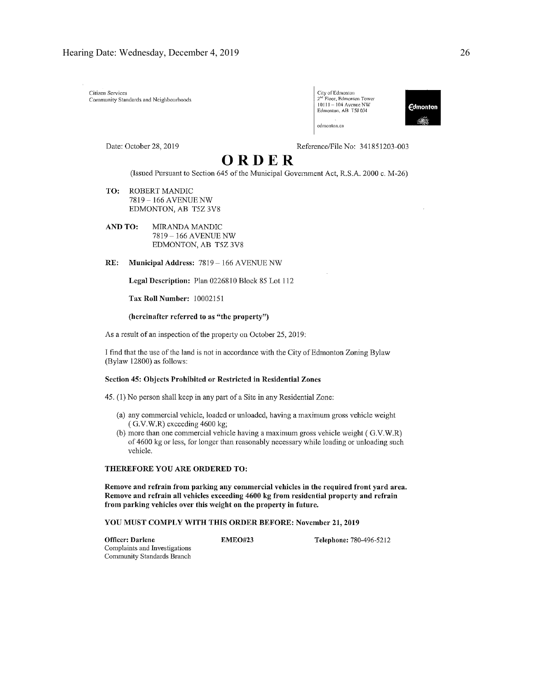Citizen Services Community Standards and Neighbourhoods

| City of Edmonton                      |
|---------------------------------------|
| 2 <sup>nd</sup> Floor, Edmonton Tower |
| 10111 -- 104 Avenue NW                |
| Edmonton, AB T5J 0J4                  |
| k                                     |
| edmonton.ca                           |



Date: October 28, 2019

Reference/File No: 341851203-003

# ORDER

(Issued Pursuant to Section 645 of the Municipal Government Act, R.S.A. 2000 c. M-26)

- TO: **ROBERT MANDIC** 7819-166 AVENUE NW EDMONTON, AB T5Z 3V8
- AND TO: MIRANDA MANDIC 7819 - 166 AVENUE NW EDMONTON, AB T5Z 3V8

RE: Municipal Address: 7819 - 166 AVENUE NW

Legal Description: Plan 0226810 Block 85 Lot 112

Tax Roll Number: 10002151

#### (hereinafter referred to as "the property")

As a result of an inspection of the property on October 25, 2019:

I find that the use of the land is not in accordance with the City of Edmonton Zoning Bylaw (Bylaw 12800) as follows:

#### Section 45: Objects Prohibited or Restricted in Residential Zones

45. (1) No person shall keep in any part of a Site in any Residential Zone:

- (a) any commercial vehicle, loaded or unloaded, having a maximum gross vehicle weight (G.V.W.R) exceeding 4600 kg;
- (b) more than one commercial vehicle having a maximum gross vehicle weight (G.V.W.R) of 4600 kg or less, for longer than reasonably necessary while loading or unloading such vehicle.

#### THEREFORE YOU ARE ORDERED TO:

Remove and refrain from parking any commercial vehicles in the required front yard area. Remove and refrain all vehicles exceeding 4600 kg from residential property and refrain from parking vehicles over this weight on the property in future.

#### YOU MUST COMPLY WITH THIS ORDER BEFORE: November 21, 2019

Officer: Darlene Complaints and Investigations Community Standards Branch

**EMEO#23** 

Telephone: 780-496-5212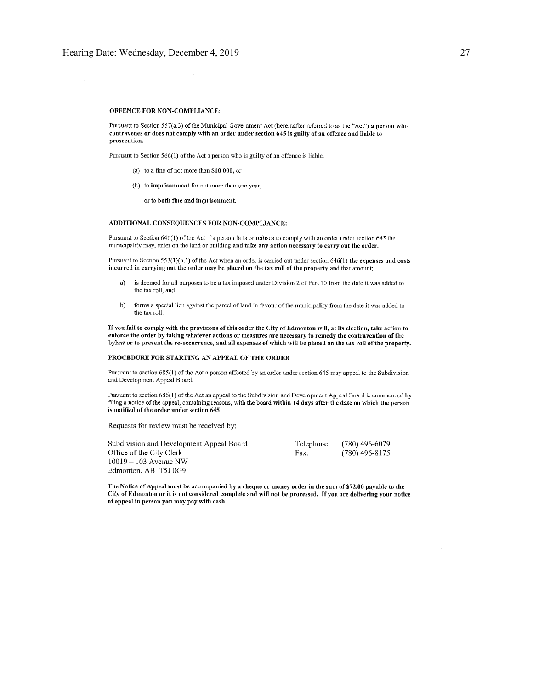$\mathcal{X}^{\mathcal{C}}$ 

#### OFFENCE FOR NON-COMPLIANCE:

Pursuant to Section 557(a.3) of the Municipal Government Act (hereinafter referred to as the "Act") a person who contravenes or does not comply with an order under section 645 is guilty of an offence and liable to prosecution.

Pursuant to Section 566(1) of the Act a person who is guilty of an offence is liable,

- (a) to a fine of not more than  $$10,000$ , or
- (b) to imprisonment for not more than one year,

or to both fine and imprisonment.

#### ADDITIONAL CONSEQUENCES FOR NON-COMPLIANCE:

Pursuant to Section 646(1) of the Act if a person fails or refuses to comply with an order under section 645 the municipality may, enter on the land or building and take any action necessary to carry out the order.

Pursuant to Section 553(1)(h.1) of the Act when an order is carried out under section 646(1) the expenses and costs incurred in carrying out the order may be placed on the tax roll of the property and that amount:

- is deemed for all purposes to be a tax imposed under Division 2 of Part 10 from the date it was added to a) the tax roll, and
- $b)$ forms a special lien against the parcel of land in favour of the municipality from the date it was added to the tax roll.

If you fail to comply with the provisions of this order the City of Edmonton will, at its election, take action to enforce the order by taking whatever actions or measures are necessary to remedy the contravention of the bylaw or to prevent the re-occurrence, and all expenses of which will be placed on the tax roll of the property.

#### PROCEDURE FOR STARTING AN APPEAL OF THE ORDER

Pursuant to section 685(1) of the Act a person affected by an order under section 645 may appeal to the Subdivision and Development Appeal Board.

Pursuant to section 686(1) of the Act an appeal to the Subdivision and Development Appeal Board is commenced by filing a notice of the appeal, containing reasons, with the board within 14 days after the date on which the person is notified of the order under section 645.

Requests for review must be received by:

| Subdivision and Development Appeal Board | Telephone: | (780) 496-6079   |
|------------------------------------------|------------|------------------|
| Office of the City Clerk                 | Fax:       | $(780)$ 496-8175 |
| 10019 – 103 Avenue NW                    |            |                  |
| Edmonton, AB T5J 0G9                     |            |                  |

The Notice of Appeal must be accompanied by a cheque or money order in the sum of \$72.00 payable to the City of Edmonton or it is not considered complete and will not be processed. If you are delivering your notice of appeal in person you may pay with cash.